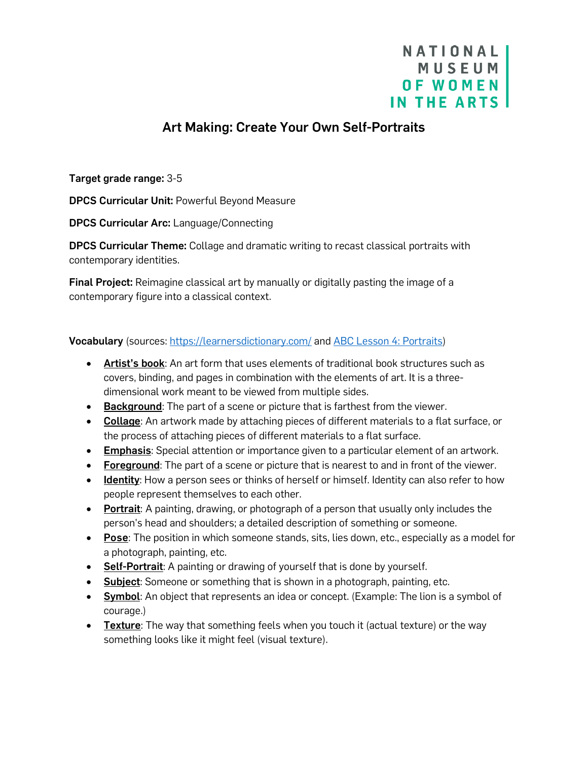## NATIONAL MUSEUM **OF WOMEN** IN THE ARTS

## Art Making: Create Your Own Self-Portraits

Target grade range: 3-5

DPCS Curricular Unit: Powerful Beyond Measure

DPCS Curricular Arc: Language/Connecting

DPCS Curricular Theme: Collage and dramatic writing to recast classical portraits with contemporary identities.

**Final Project:** Reimagine classical art by manually or digitally pasting the image of a contemporary figure into a classical context.

Vocabulary (sources:<https://learnersdictionary.com/> and [ABC Lesson 4: Portraits\)](https://nmwa.org/learn/for-educators/curriculum-resources/abc-curriculum/)

- Artist's book: An art form that uses elements of traditional book structures such as covers, binding, and pages in combination with the elements of art. It is a threedimensional work meant to be viewed from multiple sides.
- Background: The part of a scene or picture that is farthest from the viewer.
- Collage: An artwork made by attaching pieces of different materials to a flat surface, or the process of attaching pieces of different materials to a flat surface.
- Emphasis: Special attention or importance given to a particular element of an artwork.
- Foreground: The part of a scene or picture that is nearest to and in front of the viewer.
- Identity: How a person sees or thinks of herself or himself. Identity can also refer to how people represent themselves to each other.
- Portrait: A painting, drawing, or photograph of a person that usually only includes the person's head and shoulders; a detailed description of something or someone.
- Pose: The position in which someone stands, sits, lies down, etc., especially as a model for a photograph, painting, etc.
- Self-Portrait: A painting or drawing of yourself that is done by yourself.
- Subject: Someone or something that is shown in a photograph, painting, etc.
- Symbol: An object that represents an idea or concept. (Example: The lion is a symbol of courage.)
- Texture: The way that something feels when you touch it (actual texture) or the way something looks like it might feel (visual texture).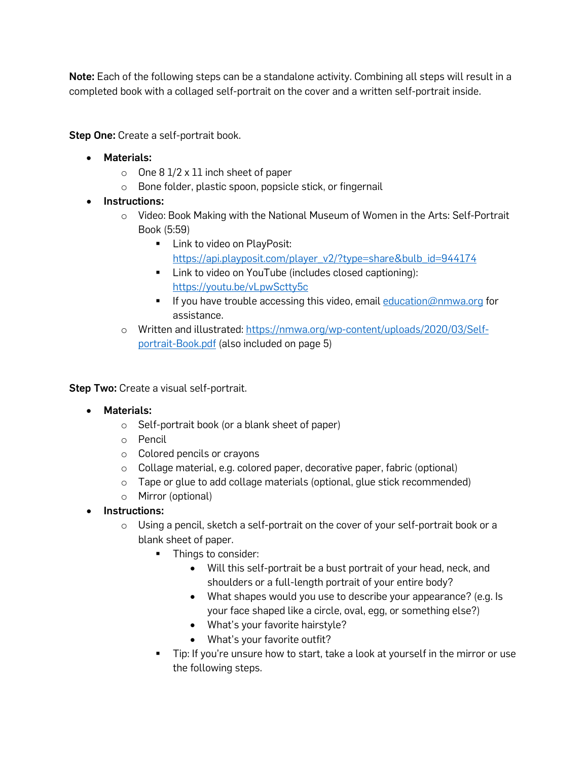Note: Each of the following steps can be a standalone activity. Combining all steps will result in a completed book with a collaged self-portrait on the cover and a written self-portrait inside.

Step One: Create a self-portrait book.

- Materials:
	- $\circ$  One 8 1/2 x 11 inch sheet of paper
	- o Bone folder, plastic spoon, popsicle stick, or fingernail
- Instructions:
	- o Video: Book Making with the National Museum of Women in the Arts: Self-Portrait Book (5:59)
		- **Link to video on PlayPosit:** [https://api.playposit.com/player\\_v2/?type=share&bulb\\_id=944174](https://api.playposit.com/player_v2/?type=share&bulb_id=944174)
		- **EXECT** Link to video on YouTube (includes closed captioning): <https://youtu.be/vLpwSctty5c>
		- If you have trouble accessing this video, email [education@nmwa.org](mailto:education@nmwa.org) for assistance.
	- o Written and illustrated: [https://nmwa.org/wp-content/uploads/2020/03/Self](https://nmwa.org/wp-content/uploads/2020/03/Self-portrait-Book.pdf)[portrait-Book.pdf](https://nmwa.org/wp-content/uploads/2020/03/Self-portrait-Book.pdf) (also included on page 5)

**Step Two:** Create a visual self-portrait.

- Materials:
	- o Self-portrait book (or a blank sheet of paper)
	- o Pencil
	- o Colored pencils or crayons
	- o Collage material, e.g. colored paper, decorative paper, fabric (optional)
	- o Tape or glue to add collage materials (optional, glue stick recommended)
	- o Mirror (optional)
- Instructions:
	- o Using a pencil, sketch a self-portrait on the cover of your self-portrait book or a blank sheet of paper.
		- Things to consider:
			- Will this self-portrait be a bust portrait of your head, neck, and shoulders or a full-length portrait of your entire body?
			- What shapes would you use to describe your appearance? (e.g. Is your face shaped like a circle, oval, egg, or something else?)
			- What's your favorite hairstyle?
			- What's your favorite outfit?
		- Tip: If you're unsure how to start, take a look at yourself in the mirror or use the following steps.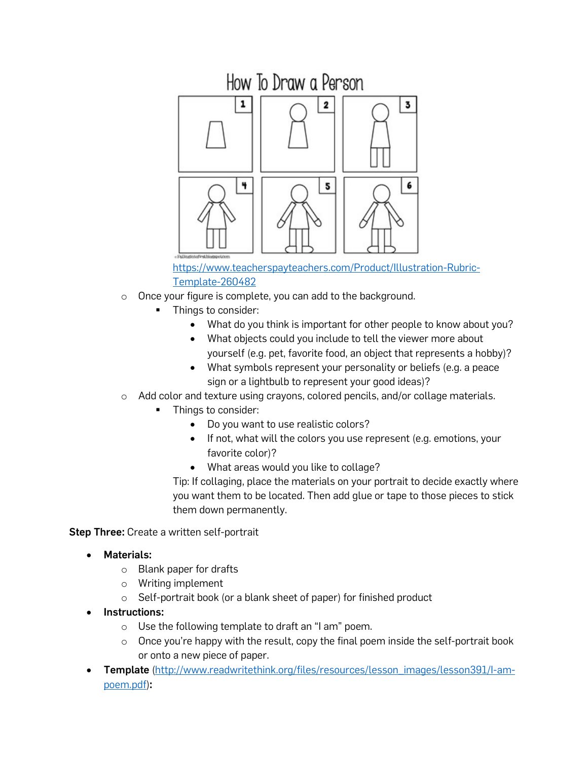

[https://www.teacherspayteachers.com/Product/Illustration-Rubric-](https://www.teacherspayteachers.com/Product/Illustration-Rubric-Template-260482)[Template-260482](https://www.teacherspayteachers.com/Product/Illustration-Rubric-Template-260482)

- o Once your figure is complete, you can add to the background.
	- **Things to consider:** 
		- What do you think is important for other people to know about you?
		- What objects could you include to tell the viewer more about yourself (e.g. pet, favorite food, an object that represents a hobby)?
		- What symbols represent your personality or beliefs (e.g. a peace sign or a lightbulb to represent your good ideas)?
- o Add color and texture using crayons, colored pencils, and/or collage materials.
	- Things to consider:
		- Do you want to use realistic colors?
		- If not, what will the colors you use represent (e.g. emotions, your favorite color)?
		- What areas would you like to collage?

Tip: If collaging, place the materials on your portrait to decide exactly where you want them to be located. Then add glue or tape to those pieces to stick them down permanently.

**Step Three:** Create a written self-portrait

- Materials:
	- o Blank paper for drafts
	- o Writing implement
	- o Self-portrait book (or a blank sheet of paper) for finished product
- Instructions:
	- o Use the following template to draft an "I am" poem.
	- $\circ$  Once you're happy with the result, copy the final poem inside the self-portrait book or onto a new piece of paper.
- **Template** [\(http://www.readwritethink.org/files/resources/lesson\\_images/lesson391/I-am](http://www.readwritethink.org/files/resources/lesson_images/lesson391/I-am-poem.pdf)[poem.pdf\)](http://www.readwritethink.org/files/resources/lesson_images/lesson391/I-am-poem.pdf):